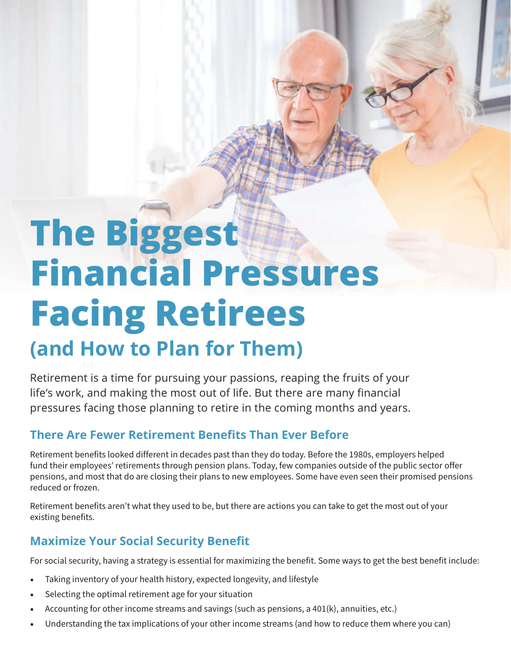# **The Biggest Financial Pressures Facing Retirees (and How to Plan for Them)**

Retirement is a time for pursuing your passions, reaping the fruits of your life's work, and making the most out of life. But there are many financial pressures facing those planning to retire in the coming months and years.

### **There Are Fewer Retirement Benefits Than Ever Before**

Retirement benefits looked different in decades past than they do today. Before the 1980s, employers helped fund their employees' retirements through pension plans. Today, few companies outside of the public sector offer pensions, and most that do are closing their plans to new employees. Some have even seen their promised pensions reduced or frozen.

Retirement benefits aren't what they used to be, but there are actions you can take to get the most out of your existing benefits.

### **Maximize Your Social Security Benefit**

For social security, having a strategy is essential for maximizing the benefit. Some ways to get the best benefit include:

- Taking inventory of your health history, expected longevity, and lifestyle
- Selecting the optimal retirement age for your situation
- Accounting for other income streams and savings (such as pensions, a 401(k), annuities, etc.)
- Understanding the tax implications of your other income streams (and how to reduce them where you can)